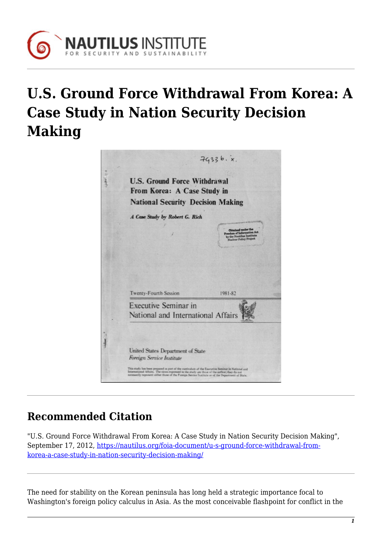

## **U.S. Ground Force Withdrawal From Korea: A Case Study in Nation Security Decision Making**



## **Recommended Citation**

"U.S. Ground Force Withdrawal From Korea: A Case Study in Nation Security Decision Making", September 17, 2012, [https://nautilus.org/foia-document/u-s-ground-force-withdrawal-from](https://nautilus.org/foia-document/u-s-ground-force-withdrawal-from-korea-a-case-study-in-nation-security-decision-making/)[korea-a-case-study-in-nation-security-decision-making/](https://nautilus.org/foia-document/u-s-ground-force-withdrawal-from-korea-a-case-study-in-nation-security-decision-making/)

The need for stability on the Korean peninsula has long held a strategic importance focal to Washington's foreign policy calculus in Asia. As the most conceivable flashpoint for conflict in the